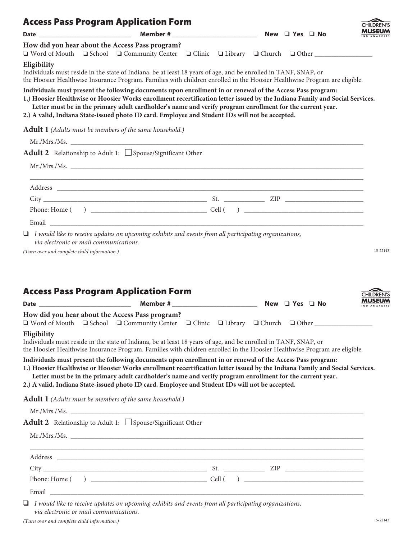|                                                            | <b>Access Pass Program Application Form</b>                                                                                                                                                                                                                                                                                                                                                                                                                                                                                                                                            |  |  | <b>CHILDREN'S</b>           |
|------------------------------------------------------------|----------------------------------------------------------------------------------------------------------------------------------------------------------------------------------------------------------------------------------------------------------------------------------------------------------------------------------------------------------------------------------------------------------------------------------------------------------------------------------------------------------------------------------------------------------------------------------------|--|--|-----------------------------|
|                                                            |                                                                                                                                                                                                                                                                                                                                                                                                                                                                                                                                                                                        |  |  | MUSEUM                      |
|                                                            | How did you hear about the Access Pass program?<br>□ Word of Mouth □ School □ Community Center □ Clinic □ Library □ Church □ Other __________________                                                                                                                                                                                                                                                                                                                                                                                                                                  |  |  |                             |
| Eligibility                                                | Individuals must reside in the state of Indiana, be at least 18 years of age, and be enrolled in TANF, SNAP, or<br>the Hoosier Healthwise Insurance Program. Families with children enrolled in the Hoosier Healthwise Program are eligible.                                                                                                                                                                                                                                                                                                                                           |  |  |                             |
|                                                            | Individuals must present the following documents upon enrollment in or renewal of the Access Pass program:<br>1.) Hoosier Healthwise or Hoosier Works enrollment recertification letter issued by the Indiana Family and Social Services.<br>Letter must be in the primary adult cardholder's name and verify program enrollment for the current year.<br>2.) A valid, Indiana State-issued photo ID card. Employee and Student IDs will not be accepted.                                                                                                                              |  |  |                             |
|                                                            | Adult 1 (Adults must be members of the same household.)                                                                                                                                                                                                                                                                                                                                                                                                                                                                                                                                |  |  |                             |
|                                                            |                                                                                                                                                                                                                                                                                                                                                                                                                                                                                                                                                                                        |  |  |                             |
|                                                            | <b>Adult 2</b> Relationship to Adult 1: $\Box$ Spouse/Significant Other                                                                                                                                                                                                                                                                                                                                                                                                                                                                                                                |  |  |                             |
|                                                            |                                                                                                                                                                                                                                                                                                                                                                                                                                                                                                                                                                                        |  |  |                             |
|                                                            |                                                                                                                                                                                                                                                                                                                                                                                                                                                                                                                                                                                        |  |  |                             |
|                                                            |                                                                                                                                                                                                                                                                                                                                                                                                                                                                                                                                                                                        |  |  |                             |
|                                                            |                                                                                                                                                                                                                                                                                                                                                                                                                                                                                                                                                                                        |  |  |                             |
|                                                            |                                                                                                                                                                                                                                                                                                                                                                                                                                                                                                                                                                                        |  |  |                             |
| via electronic or mail communications.                     | $\Box$ I would like to receive updates on upcoming exhibits and events from all participating organizations,                                                                                                                                                                                                                                                                                                                                                                                                                                                                           |  |  |                             |
|                                                            |                                                                                                                                                                                                                                                                                                                                                                                                                                                                                                                                                                                        |  |  | 15-22143                    |
|                                                            | <b>Access Pass Program Application Form</b>                                                                                                                                                                                                                                                                                                                                                                                                                                                                                                                                            |  |  |                             |
|                                                            | How did you hear about the Access Pass program?<br>■ Word of Mouth ■ School ■ Community Center ■ Clinic ■ Library ■ Church ■ Other __________________                                                                                                                                                                                                                                                                                                                                                                                                                                  |  |  |                             |
|                                                            | Individuals must reside in the state of Indiana, be at least 18 years of age, and be enrolled in TANF, SNAP, or                                                                                                                                                                                                                                                                                                                                                                                                                                                                        |  |  |                             |
|                                                            | the Hoosier Healthwise Insurance Program. Families with children enrolled in the Hoosier Healthwise Program are eligible.<br>Individuals must present the following documents upon enrollment in or renewal of the Access Pass program:<br>1.) Hoosier Healthwise or Hoosier Works enrollment recertification letter issued by the Indiana Family and Social Services.<br>Letter must be in the primary adult cardholder's name and verify program enrollment for the current year.<br>2.) A valid, Indiana State-issued photo ID card. Employee and Student IDs will not be accepted. |  |  |                             |
|                                                            |                                                                                                                                                                                                                                                                                                                                                                                                                                                                                                                                                                                        |  |  |                             |
|                                                            | Adult 1 (Adults must be members of the same household.)                                                                                                                                                                                                                                                                                                                                                                                                                                                                                                                                |  |  |                             |
|                                                            | Adult 2 Relationship to Adult 1: $\Box$ Spouse/Significant Other                                                                                                                                                                                                                                                                                                                                                                                                                                                                                                                       |  |  |                             |
|                                                            |                                                                                                                                                                                                                                                                                                                                                                                                                                                                                                                                                                                        |  |  |                             |
|                                                            | <u> 1989 - Johann Harry Harry Harry Harry Harry Harry Harry Harry Harry Harry Harry Harry Harry Harry Harry Harry</u>                                                                                                                                                                                                                                                                                                                                                                                                                                                                  |  |  |                             |
|                                                            |                                                                                                                                                                                                                                                                                                                                                                                                                                                                                                                                                                                        |  |  | <b>CHILDREN'S</b><br>MUSEUM |
| (Turn over and complete child information.)<br>Eligibility |                                                                                                                                                                                                                                                                                                                                                                                                                                                                                                                                                                                        |  |  |                             |

❏ *I would like to receive updates on upcoming exhibits and events from all participating organizations, via electronic or mail communications.*